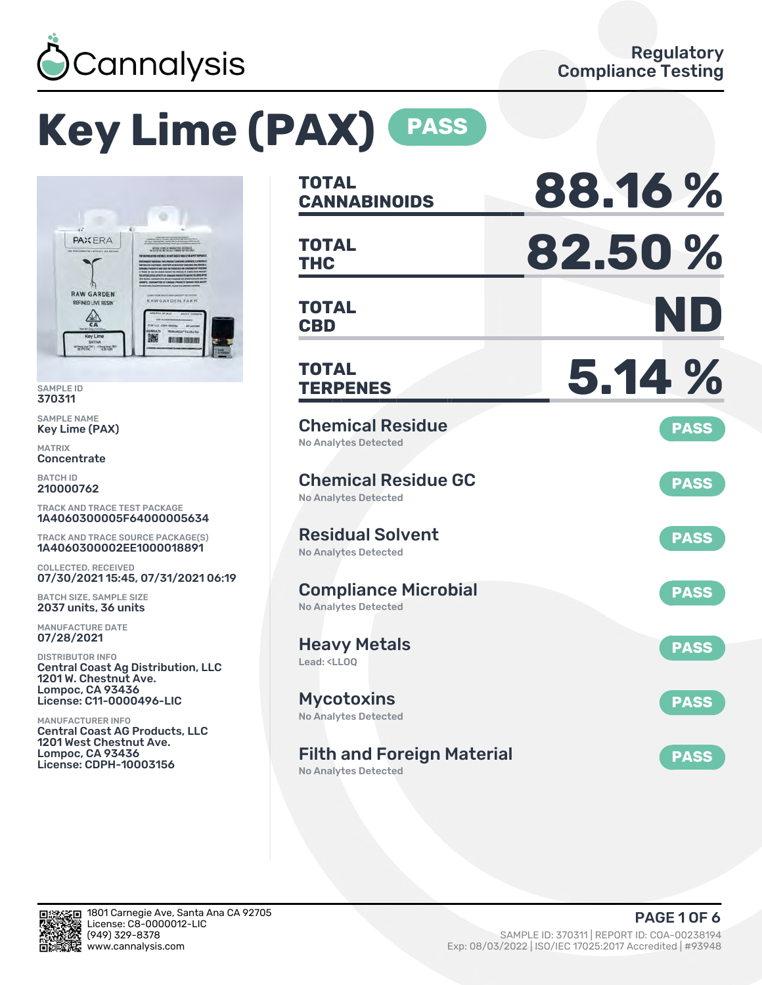

# **Key Lime (PAX) PASS**



SAMPLE ID 370311

SAMPLE NAME Key Lime (PAX)

MATRIX **Concentrate** 

BATCH ID 210000762

TRACK AND TRACE TEST PACKAGE 1A4060300005F64000005634

TRACK AND TRACE SOURCE PACKAGE(S) 1A4060300002EE1000018891

COLLECTED, RECEIVED 07/30/2021 15:45, 07/31/2021 06:19

BATCH SIZE, SAMPLE SIZE 2037 units, 36 units

MANUFACTURE DATE 07/28/2021

DISTRIBUTOR INFO Central Coast Ag Distribution, LLC 1201 W. Chestnut Ave. Lompoc, CA 93436 License: C11-0000496-LIC

MANUFACTURER INFO Central Coast AG Products, LLC 1201 West Chestnut Ave. Lompoc, CA 93436 License: CDPH-10003156

| <b>TOTAL</b><br><b>CANNABINOIDS</b>                                    | 88.16%      |
|------------------------------------------------------------------------|-------------|
| <b>TOTAL</b><br><b>THC</b>                                             | 82.50%      |
| <b>TOTAL</b><br><b>CBD</b>                                             | ND          |
| TOTAL<br><b>TERPENES</b>                                               | 5.14 %      |
| <b>Chemical Residue</b><br><b>No Analytes Detected</b>                 | <b>PASS</b> |
| <b>Chemical Residue GC</b><br><b>No Analytes Detected</b>              | <b>PASS</b> |
| <b>Residual Solvent</b><br><b>No Analytes Detected</b>                 | <b>PASS</b> |
| <b>Compliance Microbial</b><br><b>No Analytes Detected</b>             | <b>PASS</b> |
| <b>Heavy Metals</b><br>Lead: <ll00< td=""><td><b>PASS</b></td></ll00<> | <b>PASS</b> |
| <b>Mycotoxins</b><br><b>No Analytes Detected</b>                       | <b>PASS</b> |
| <b>Filth and Foreign Material</b><br>No Analytes Detected              | <b>PASS</b> |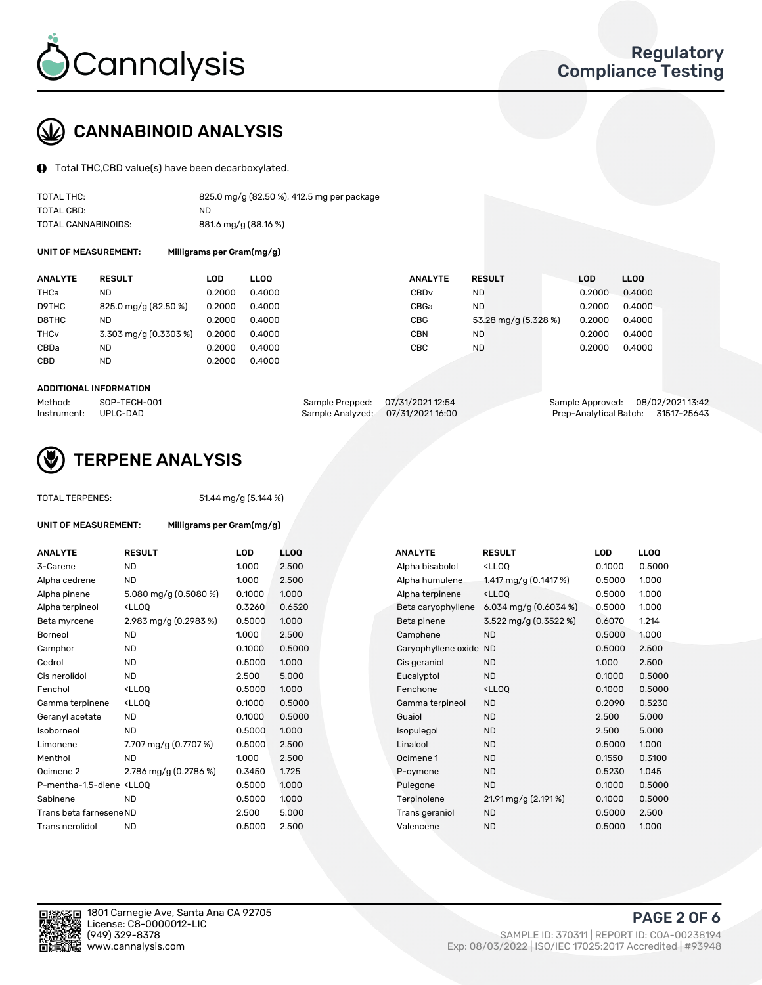

## CANNABINOID ANALYSIS

Total THC,CBD value(s) have been decarboxylated.

| TOTAL THC:          | 825.0 mg/g (82.50 %), 412.5 mg per package |
|---------------------|--------------------------------------------|
| TOTAL CBD:          | ND.                                        |
| TOTAL CANNABINOIDS: | 881.6 mg/g (88.16 %)                       |

UNIT OF MEASUREMENT: Milligrams per Gram(mg/g)

| <b>ANALYTE</b>         | <b>RESULT</b>         | LOD    | <b>LLOO</b> | <b>ANALYTE</b>   | <b>RESULT</b>        | LOD    | <b>LLOO</b> |
|------------------------|-----------------------|--------|-------------|------------------|----------------------|--------|-------------|
| THCa                   | ND                    | 0.2000 | 0.4000      | CBD <sub>v</sub> | <b>ND</b>            | 0.2000 | 0.4000      |
| D9THC                  | 825.0 mg/g (82.50 %)  | 0.2000 | 0.4000      | CBGa             | <b>ND</b>            | 0.2000 | 0.4000      |
| D8THC                  | <b>ND</b>             | 0.2000 | 0.4000      | <b>CBG</b>       | 53.28 mg/g (5.328 %) | 0.2000 | 0.4000      |
| <b>THC<sub>v</sub></b> | 3.303 mg/g (0.3303 %) | 0.2000 | 0.4000      | CBN              | ND.                  | 0.2000 | 0.4000      |
| CBDa                   | <b>ND</b>             | 0.2000 | 0.4000      | CBC              | <b>ND</b>            | 0.2000 | 0.4000      |
| CBD                    | <b>ND</b>             | 0.2000 | 0.4000      |                  |                      |        |             |

#### ADDITIONAL INFORMATION

| Method:              | SOP-TECH-001 | Sample Prepped: 07/31/2021 12:54  | Sample Approved: 08/02/2021 13:42 |                                    |
|----------------------|--------------|-----------------------------------|-----------------------------------|------------------------------------|
| Instrument: UPLC-DAD |              | Sample Analyzed: 07/31/2021 16:00 |                                   | Prep-Analytical Batch: 31517-25643 |



## TERPENE ANALYSIS

| <b>TOTAL TERPENES:</b>                                                        |                                                   | 51.44 mg/g (5.144 %) |                 |  |  |  |  |  |
|-------------------------------------------------------------------------------|---------------------------------------------------|----------------------|-----------------|--|--|--|--|--|
| UNIT OF MEASUREMENT:                                                          | Milligrams per Gram(mg/g)                         |                      |                 |  |  |  |  |  |
| <b>ANALYTE</b>                                                                | <b>RESULT</b>                                     | LOD                  | LL <sub>O</sub> |  |  |  |  |  |
| 3-Carene                                                                      | <b>ND</b>                                         | 1.000                | 2.50            |  |  |  |  |  |
| Alpha cedrene                                                                 | <b>ND</b>                                         | 1.000                | 2.50            |  |  |  |  |  |
| Alpha pinene                                                                  | 5.080 mg/g $(0.5080\%)$                           | 0.1000               | 1.00            |  |  |  |  |  |
| Alpha terpineol                                                               | <lloo< td=""><td>0.3260</td><td>0.65</td></lloo<> | 0.3260               | 0.65            |  |  |  |  |  |
| Beta myrcene                                                                  | 2.983 mg/g $(0.2983\%)$                           | 0.5000               | 1.00            |  |  |  |  |  |
| Borneol                                                                       | <b>ND</b>                                         | 1.000                | 2.50            |  |  |  |  |  |
| Camphor                                                                       | <b>ND</b>                                         | 0.1000               | 0.50            |  |  |  |  |  |
| Cedrol                                                                        | <b>ND</b>                                         | 0.5000               | 1.00            |  |  |  |  |  |
| Cis nerolidol                                                                 | <b>ND</b>                                         | 2.500                | 5.00            |  |  |  |  |  |
| Fenchol                                                                       | <lloq< td=""><td>0.5000</td><td>1.00</td></lloq<> | 0.5000               | 1.00            |  |  |  |  |  |
| Gamma terpinene                                                               | $<$ LLOO                                          | 0.1000               | 0.50            |  |  |  |  |  |
| Geranyl acetate                                                               | <b>ND</b>                                         | 0.1000               | 0.50            |  |  |  |  |  |
| Isoborneol                                                                    | <b>ND</b>                                         | 0.5000               | 1.00            |  |  |  |  |  |
| Limonene                                                                      | 7.707 mg/g (0.7707 %)                             | 0.5000               | 2.50            |  |  |  |  |  |
| Menthol                                                                       | <b>ND</b>                                         | 1.000                | 2.50            |  |  |  |  |  |
| Ocimene <sub>2</sub>                                                          | 2.786 mg/g (0.2786 %)                             | 0.3450               | 1.725           |  |  |  |  |  |
| P-mentha-1,5-diene <lloq< td=""><td></td><td>0.5000</td><td>1.00</td></lloq<> |                                                   | 0.5000               | 1.00            |  |  |  |  |  |
| Sabinene                                                                      | <b>ND</b>                                         | 0.5000               | 1.00            |  |  |  |  |  |
| Trans beta farnesene ND                                                       |                                                   | 2.500                | 5.00            |  |  |  |  |  |
| Trans nerolidol                                                               | <b>ND</b>                                         | 0.5000               | 2.50            |  |  |  |  |  |
|                                                                               |                                                   |                      |                 |  |  |  |  |  |

| ANALYTE                                                                                                                                         | <b>RESULT</b>                                                                                                                                          | LOD    | LLOQ   | ANALYTE             | <b>RESULT</b>                                       | LOD    | <b>LLOQ</b> |
|-------------------------------------------------------------------------------------------------------------------------------------------------|--------------------------------------------------------------------------------------------------------------------------------------------------------|--------|--------|---------------------|-----------------------------------------------------|--------|-------------|
| 3-Carene                                                                                                                                        | ND                                                                                                                                                     | 1.000  | 2.500  | Alpha bisabolol     | <ll0q< td=""><td>0.1000</td><td>0.5000</td></ll0q<> | 0.1000 | 0.5000      |
| Alpha cedrene                                                                                                                                   | <b>ND</b>                                                                                                                                              | 1.000  | 2.500  | Alpha humulene      | 1.417 mg/g $(0.1417%)$                              | 0.5000 | 1.000       |
| Alpha pinene                                                                                                                                    | 5.080 mg/g $(0.5080\%)$                                                                                                                                | 0.1000 | 1.000  | Alpha terpinene     | <ll0q< td=""><td>0.5000</td><td>1.000</td></ll0q<>  | 0.5000 | 1.000       |
| Alpha terpineol                                                                                                                                 | <lloq< td=""><td>0.3260</td><td>0.6520</td><td>Beta caryophyllene</td><td>6.034 mg/g <math>(0.6034\%)</math></td><td>0.5000</td><td>1.000</td></lloq<> | 0.3260 | 0.6520 | Beta caryophyllene  | 6.034 mg/g $(0.6034\%)$                             | 0.5000 | 1.000       |
| Beta myrcene                                                                                                                                    | 2.983 mg/g (0.2983 %)                                                                                                                                  | 0.5000 | 1.000  | Beta pinene         | 3.522 mg/g (0.3522 %)                               | 0.6070 | 1.214       |
| Borneol                                                                                                                                         | <b>ND</b>                                                                                                                                              | 1.000  | 2.500  | Camphene            | <b>ND</b>                                           | 0.5000 | 1.000       |
| Camphor                                                                                                                                         | <b>ND</b>                                                                                                                                              | 0.1000 | 0.5000 | Caryophyllene oxide | <b>ND</b>                                           | 0.5000 | 2.500       |
| Cedrol                                                                                                                                          | <b>ND</b>                                                                                                                                              | 0.5000 | 1.000  | Cis geraniol        | <b>ND</b>                                           | 1.000  | 2.500       |
| Cis nerolidol                                                                                                                                   | <b>ND</b>                                                                                                                                              | 2.500  | 5.000  | Eucalyptol          | <b>ND</b>                                           | 0.1000 | 0.5000      |
| Fenchol                                                                                                                                         | <lloq< td=""><td>0.5000</td><td>1.000</td><td>Fenchone</td><td><ll0q< td=""><td>0.1000</td><td>0.5000</td></ll0q<></td></lloq<>                        | 0.5000 | 1.000  | Fenchone            | <ll0q< td=""><td>0.1000</td><td>0.5000</td></ll0q<> | 0.1000 | 0.5000      |
| Gamma terpinene                                                                                                                                 | <ll0q< td=""><td>0.1000</td><td>0.5000</td><td>Gamma terpineol</td><td><b>ND</b></td><td>0.2090</td><td>0.5230</td></ll0q<>                            | 0.1000 | 0.5000 | Gamma terpineol     | <b>ND</b>                                           | 0.2090 | 0.5230      |
| Geranyl acetate                                                                                                                                 | ND.                                                                                                                                                    | 0.1000 | 0.5000 | Guaiol              | <b>ND</b>                                           | 2.500  | 5.000       |
| Isoborneol                                                                                                                                      | ND                                                                                                                                                     | 0.5000 | 1.000  | Isopulegol          | <b>ND</b>                                           | 2.500  | 5.000       |
| Limonene                                                                                                                                        | 7.707 mg/g (0.7707 %)                                                                                                                                  | 0.5000 | 2.500  | Linalool            | <b>ND</b>                                           | 0.5000 | 1.000       |
| Menthol                                                                                                                                         | <b>ND</b>                                                                                                                                              | 1.000  | 2.500  | Ocimene 1           | <b>ND</b>                                           | 0.1550 | 0.3100      |
| Ocimene 2                                                                                                                                       | 2.786 mg/g (0.2786 %)                                                                                                                                  | 0.3450 | 1.725  | P-cymene            | <b>ND</b>                                           | 0.5230 | 1.045       |
| P-mentha-1,5-diene <ll0q< td=""><td></td><td>0.5000</td><td>1.000</td><td>Pulegone</td><td><b>ND</b></td><td>0.1000</td><td>0.5000</td></ll0q<> |                                                                                                                                                        | 0.5000 | 1.000  | Pulegone            | <b>ND</b>                                           | 0.1000 | 0.5000      |
| Sabinene                                                                                                                                        | <b>ND</b>                                                                                                                                              | 0.5000 | 1.000  | Terpinolene         | 21.91 mg/g (2.191 %)                                | 0.1000 | 0.5000      |
| Trans beta farnesene ND                                                                                                                         |                                                                                                                                                        | 2.500  | 5.000  | Trans geraniol      | <b>ND</b>                                           | 0.5000 | 2.500       |
| Trans nerolidol                                                                                                                                 | <b>ND</b>                                                                                                                                              | 0.5000 | 2.500  | Valencene           | <b>ND</b>                                           | 0.5000 | 1.000       |
|                                                                                                                                                 |                                                                                                                                                        |        |        |                     |                                                     |        |             |

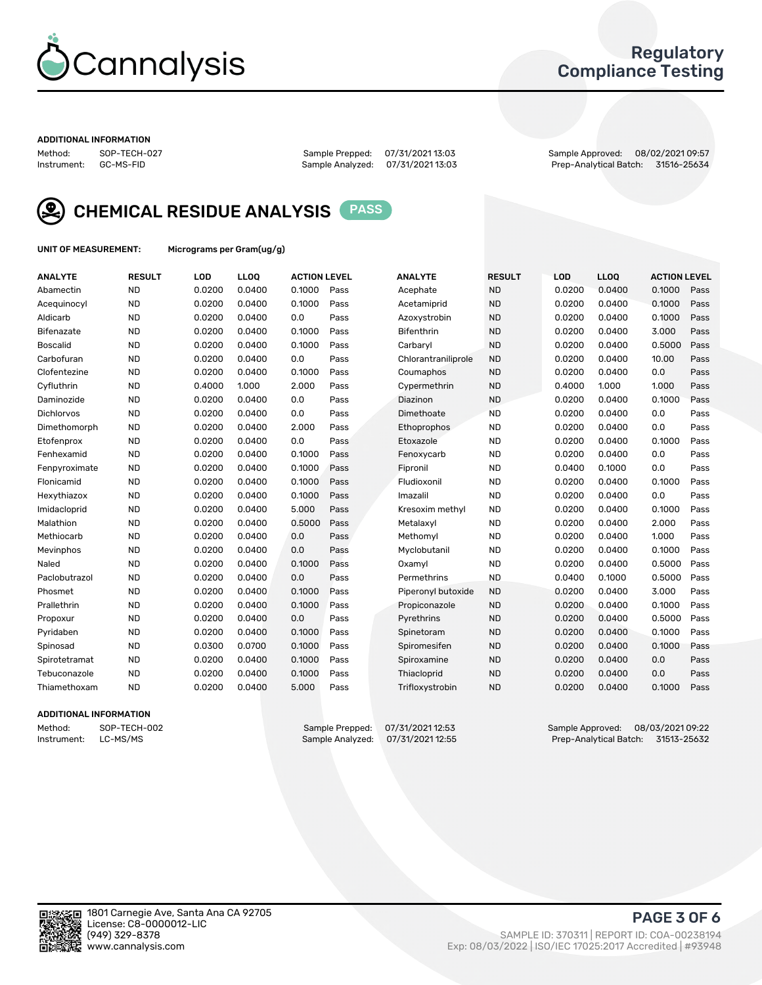

## Regulatory Compliance Testing

#### ADDITIONAL INFORMATION

Method: SOP-TECH-027 Sample Prepped: 07/31/2021 13:03 Sample Approved: 08/02/2021 09:57 Prep-Analytical Batch: 31516-25634



CHEMICAL RESIDUE ANALYSIS PASS

UNIT OF MEASUREMENT: Micrograms per Gram(ug/g)

| <b>ANALYTE</b>    | <b>RESULT</b> | LOD    | <b>LLOQ</b> | <b>ACTION LEVEL</b> |      | <b>ANALYTE</b>      | <b>RESULT</b> | LOD    | <b>LLOQ</b> | <b>ACTION LEVEL</b> |      |
|-------------------|---------------|--------|-------------|---------------------|------|---------------------|---------------|--------|-------------|---------------------|------|
| Abamectin         | <b>ND</b>     | 0.0200 | 0.0400      | 0.1000              | Pass | Acephate            | <b>ND</b>     | 0.0200 | 0.0400      | 0.1000              | Pass |
| Acequinocyl       | <b>ND</b>     | 0.0200 | 0.0400      | 0.1000              | Pass | Acetamiprid         | <b>ND</b>     | 0.0200 | 0.0400      | 0.1000              | Pass |
| Aldicarb          | <b>ND</b>     | 0.0200 | 0.0400      | 0.0                 | Pass | Azoxystrobin        | <b>ND</b>     | 0.0200 | 0.0400      | 0.1000              | Pass |
| Bifenazate        | <b>ND</b>     | 0.0200 | 0.0400      | 0.1000              | Pass | <b>Bifenthrin</b>   | <b>ND</b>     | 0.0200 | 0.0400      | 3.000               | Pass |
| <b>Boscalid</b>   | <b>ND</b>     | 0.0200 | 0.0400      | 0.1000              | Pass | Carbarvl            | <b>ND</b>     | 0.0200 | 0.0400      | 0.5000              | Pass |
| Carbofuran        | <b>ND</b>     | 0.0200 | 0.0400      | 0.0                 | Pass | Chlorantraniliprole | <b>ND</b>     | 0.0200 | 0.0400      | 10.00               | Pass |
| Clofentezine      | <b>ND</b>     | 0.0200 | 0.0400      | 0.1000              | Pass | Coumaphos           | <b>ND</b>     | 0.0200 | 0.0400      | 0.0                 | Pass |
| Cyfluthrin        | <b>ND</b>     | 0.4000 | 1.000       | 2.000               | Pass | Cypermethrin        | <b>ND</b>     | 0.4000 | 1.000       | 1.000               | Pass |
| Daminozide        | <b>ND</b>     | 0.0200 | 0.0400      | 0.0                 | Pass | Diazinon            | <b>ND</b>     | 0.0200 | 0.0400      | 0.1000              | Pass |
| <b>Dichlorvos</b> | <b>ND</b>     | 0.0200 | 0.0400      | 0.0                 | Pass | Dimethoate          | <b>ND</b>     | 0.0200 | 0.0400      | 0.0                 | Pass |
| Dimethomorph      | <b>ND</b>     | 0.0200 | 0.0400      | 2.000               | Pass | <b>Ethoprophos</b>  | <b>ND</b>     | 0.0200 | 0.0400      | 0.0                 | Pass |
| Etofenprox        | <b>ND</b>     | 0.0200 | 0.0400      | 0.0                 | Pass | Etoxazole           | <b>ND</b>     | 0.0200 | 0.0400      | 0.1000              | Pass |
| Fenhexamid        | <b>ND</b>     | 0.0200 | 0.0400      | 0.1000              | Pass | Fenoxycarb          | <b>ND</b>     | 0.0200 | 0.0400      | 0.0                 | Pass |
| Fenpyroximate     | <b>ND</b>     | 0.0200 | 0.0400      | 0.1000              | Pass | Fipronil            | <b>ND</b>     | 0.0400 | 0.1000      | 0.0                 | Pass |
| Flonicamid        | <b>ND</b>     | 0.0200 | 0.0400      | 0.1000              | Pass | Fludioxonil         | <b>ND</b>     | 0.0200 | 0.0400      | 0.1000              | Pass |
| Hexythiazox       | <b>ND</b>     | 0.0200 | 0.0400      | 0.1000              | Pass | Imazalil            | <b>ND</b>     | 0.0200 | 0.0400      | 0.0                 | Pass |
| Imidacloprid      | <b>ND</b>     | 0.0200 | 0.0400      | 5.000               | Pass | Kresoxim methyl     | <b>ND</b>     | 0.0200 | 0.0400      | 0.1000              | Pass |
| Malathion         | <b>ND</b>     | 0.0200 | 0.0400      | 0.5000              | Pass | Metalaxyl           | <b>ND</b>     | 0.0200 | 0.0400      | 2.000               | Pass |
| Methiocarb        | <b>ND</b>     | 0.0200 | 0.0400      | 0.0                 | Pass | Methomyl            | <b>ND</b>     | 0.0200 | 0.0400      | 1.000               | Pass |
| Mevinphos         | <b>ND</b>     | 0.0200 | 0.0400      | 0.0                 | Pass | Myclobutanil        | <b>ND</b>     | 0.0200 | 0.0400      | 0.1000              | Pass |
| Naled             | <b>ND</b>     | 0.0200 | 0.0400      | 0.1000              | Pass | Oxamyl              | <b>ND</b>     | 0.0200 | 0.0400      | 0.5000              | Pass |
| Paclobutrazol     | <b>ND</b>     | 0.0200 | 0.0400      | 0.0                 | Pass | Permethrins         | <b>ND</b>     | 0.0400 | 0.1000      | 0.5000              | Pass |
| Phosmet           | <b>ND</b>     | 0.0200 | 0.0400      | 0.1000              | Pass | Piperonyl butoxide  | <b>ND</b>     | 0.0200 | 0.0400      | 3.000               | Pass |
| Prallethrin       | <b>ND</b>     | 0.0200 | 0.0400      | 0.1000              | Pass | Propiconazole       | <b>ND</b>     | 0.0200 | 0.0400      | 0.1000              | Pass |
| Propoxur          | <b>ND</b>     | 0.0200 | 0.0400      | 0.0                 | Pass | Pyrethrins          | <b>ND</b>     | 0.0200 | 0.0400      | 0.5000              | Pass |
| Pyridaben         | <b>ND</b>     | 0.0200 | 0.0400      | 0.1000              | Pass | Spinetoram          | <b>ND</b>     | 0.0200 | 0.0400      | 0.1000              | Pass |
| Spinosad          | <b>ND</b>     | 0.0300 | 0.0700      | 0.1000              | Pass | Spiromesifen        | <b>ND</b>     | 0.0200 | 0.0400      | 0.1000              | Pass |
| Spirotetramat     | <b>ND</b>     | 0.0200 | 0.0400      | 0.1000              | Pass | Spiroxamine         | <b>ND</b>     | 0.0200 | 0.0400      | 0.0                 | Pass |
| Tebuconazole      | <b>ND</b>     | 0.0200 | 0.0400      | 0.1000              | Pass | Thiacloprid         | <b>ND</b>     | 0.0200 | 0.0400      | 0.0                 | Pass |
| Thiamethoxam      | <b>ND</b>     | 0.0200 | 0.0400      | 5.000               | Pass | Trifloxystrobin     | <b>ND</b>     | 0.0200 | 0.0400      | 0.1000              | Pass |

#### ADDITIONAL INFORMATION

Method: SOP-TECH-002 Sample Prepped: 07/31/2021 12:53 Sample Approved: 08/03/2021 09:22<br>Instrument: LC-MS/MS Sample Analyzed: 07/31/2021 12:55 Prep-Analytical Batch: 31513-25632 Prep-Analytical Batch: 31513-25632

PAGE 3 OF 6

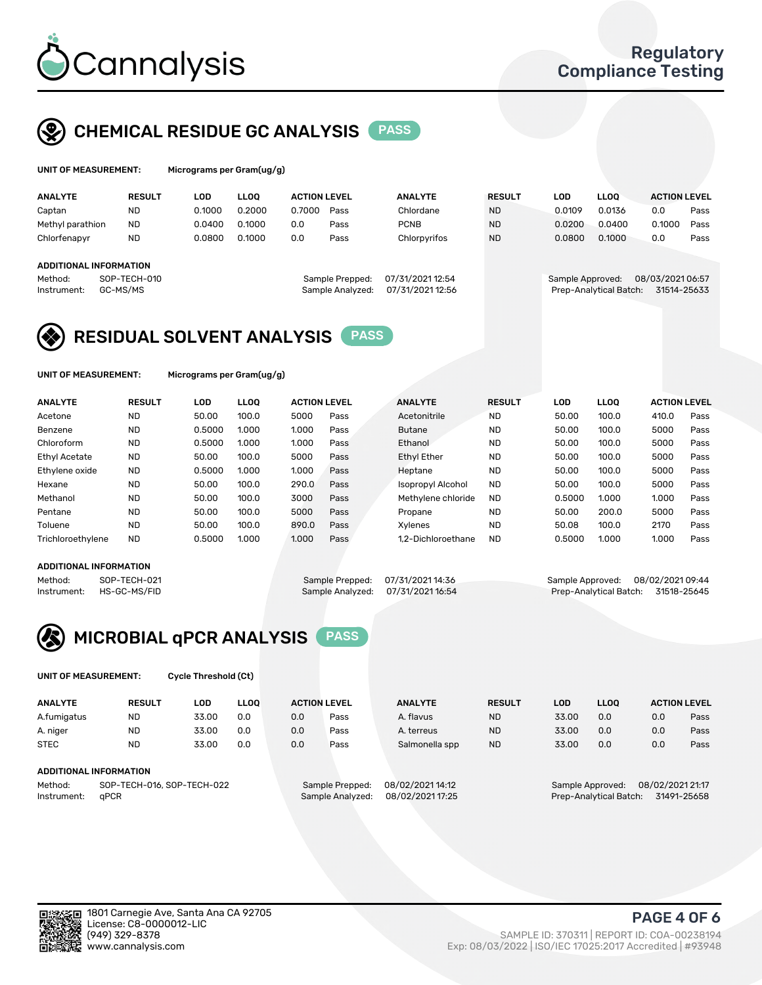

## CHEMICAL RESIDUE GC ANALYSIS PASS

| UNIT OF MEASUREMENT: | Microgra |
|----------------------|----------|
|----------------------|----------|

ams per Gram(ug/g)

| <b>ANALYTE</b>         | <b>RESULT</b> | LOD    | <b>LLOO</b> | <b>ACTION LEVEL</b> |                  | <b>ANALYTE</b>   | <b>RESULT</b> | LOD              | <b>LLOO</b>            | <b>ACTION LEVEL</b> |      |
|------------------------|---------------|--------|-------------|---------------------|------------------|------------------|---------------|------------------|------------------------|---------------------|------|
| Captan                 | <b>ND</b>     | 0.1000 | 0.2000      | 0.7000              | Pass             | Chlordane        | <b>ND</b>     | 0.0109           | 0.0136                 | 0.0                 | Pass |
| Methyl parathion       | <b>ND</b>     | 0.0400 | 0.1000      | 0.0                 | Pass             | <b>PCNB</b>      | <b>ND</b>     | 0.0200           | 0.0400                 | 0.1000              | Pass |
| Chlorfenapyr           | <b>ND</b>     | 0.0800 | 0.1000      | 0.0                 | Pass             | Chlorpyrifos     | <b>ND</b>     | 0.0800           | 0.1000                 | 0.0                 | Pass |
|                        |               |        |             |                     |                  |                  |               |                  |                        |                     |      |
| ADDITIONAL INFORMATION |               |        |             |                     |                  |                  |               |                  |                        |                     |      |
| Method:                | SOP-TECH-010  |        |             |                     | Sample Prepped:  | 07/31/2021 12:54 |               | Sample Approved: |                        | 08/03/2021 06:57    |      |
| Instrument:            | GC-MS/MS      |        |             |                     | Sample Analyzed: | 07/31/2021 12:56 |               |                  | Prep-Analytical Batch: | 31514-25633         |      |
|                        |               |        |             |                     |                  |                  |               |                  |                        |                     |      |

## RESIDUAL SOLVENT ANALYSIS PASS

UNIT OF MEASUREMENT: Micrograms per Gram(ug/g)

| <b>ANALYTE</b>    | <b>RESULT</b> | LOD    | <b>LLOO</b> | <b>ACTION LEVEL</b> |      | <b>ANALYTE</b>     | <b>RESULT</b> | LOD    | LLOO  | <b>ACTION LEVEL</b> |      |
|-------------------|---------------|--------|-------------|---------------------|------|--------------------|---------------|--------|-------|---------------------|------|
| Acetone           | <b>ND</b>     | 50.00  | 100.0       | 5000                | Pass | Acetonitrile       | <b>ND</b>     | 50.00  | 100.0 | 410.0               | Pass |
| Benzene           | <b>ND</b>     | 0.5000 | 1.000       | 1.000               | Pass | <b>Butane</b>      | <b>ND</b>     | 50.00  | 100.0 | 5000                | Pass |
| Chloroform        | <b>ND</b>     | 0.5000 | 1.000       | 1.000               | Pass | Ethanol            | <b>ND</b>     | 50.00  | 100.0 | 5000                | Pass |
| Ethyl Acetate     | <b>ND</b>     | 50.00  | 100.0       | 5000                | Pass | <b>Ethyl Ether</b> | <b>ND</b>     | 50.00  | 100.0 | 5000                | Pass |
| Ethylene oxide    | <b>ND</b>     | 0.5000 | 1.000       | 1.000               | Pass | Heptane            | <b>ND</b>     | 50.00  | 100.0 | 5000                | Pass |
| Hexane            | <b>ND</b>     | 50.00  | 100.0       | 290.0               | Pass | Isopropyl Alcohol  | <b>ND</b>     | 50.00  | 100.0 | 5000                | Pass |
| Methanol          | <b>ND</b>     | 50.00  | 100.0       | 3000                | Pass | Methylene chloride | <b>ND</b>     | 0.5000 | 1.000 | 1.000               | Pass |
| Pentane           | <b>ND</b>     | 50.00  | 100.0       | 5000                | Pass | Propane            | <b>ND</b>     | 50.00  | 200.0 | 5000                | Pass |
| Toluene           | <b>ND</b>     | 50.00  | 100.0       | 890.0               | Pass | Xvlenes            | <b>ND</b>     | 50.08  | 100.0 | 2170                | Pass |
| Trichloroethylene | <b>ND</b>     | 0.5000 | 1.000       | 1.000               | Pass | 1.2-Dichloroethane | <b>ND</b>     | 0.5000 | 1.000 | 1.000               | Pass |

#### ADDITIONAL INFORMATION

Method: SOP-TECH-021 Sample Prepped: 07/31/2021 14:36 Sample Approved: 08/02/2021 09:44<br>Instrument: HS-GC-MS/FID Sample Analyzed: 07/31/2021 16:54 Prep-Analytical Batch: 31518-25645 Prep-Analytical Batch: 31518-25645



UNIT OF MEASUREMENT: Cycle Threshold (Ct)

| <b>ANALYTE</b> | <b>RESULT</b>              | LOD   | <b>LLOO</b> | <b>ACTION LEVEL</b> |                 | <b>ANALYTE</b>  | <b>RESULT</b> | LOD   | <b>LLOO</b>      |                  | <b>ACTION LEVEL</b> |
|----------------|----------------------------|-------|-------------|---------------------|-----------------|-----------------|---------------|-------|------------------|------------------|---------------------|
| A.fumigatus    | <b>ND</b>                  | 33.00 | 0.0         | 0.0                 | Pass            | A. flavus       | <b>ND</b>     | 33.00 | 0.0              | 0.0              | Pass                |
| A. niger       | <b>ND</b>                  | 33.00 | 0.0         | 0.0                 | Pass            | A. terreus      | <b>ND</b>     | 33.00 | 0.0              | 0.0              | Pass                |
| <b>STEC</b>    | <b>ND</b>                  | 33.00 | 0.0         | 0.0                 | Pass            | Salmonella spp  | <b>ND</b>     | 33.00 | 0.0              | 0.0              | Pass                |
|                | ADDITIONAL INFORMATION     |       |             |                     |                 |                 |               |       |                  |                  |                     |
| Method:        | SOP-TECH-016, SOP-TECH-022 |       |             |                     | Sample Prepped: | 08/02/202114:12 |               |       | Sample Approved: | 08/02/2021 21:17 |                     |

Instrument: qPCR Sample Analyzed: 08/02/2021 17:25 Prep-Analytical Batch: 31491-25658

PAGE 4 OF 6

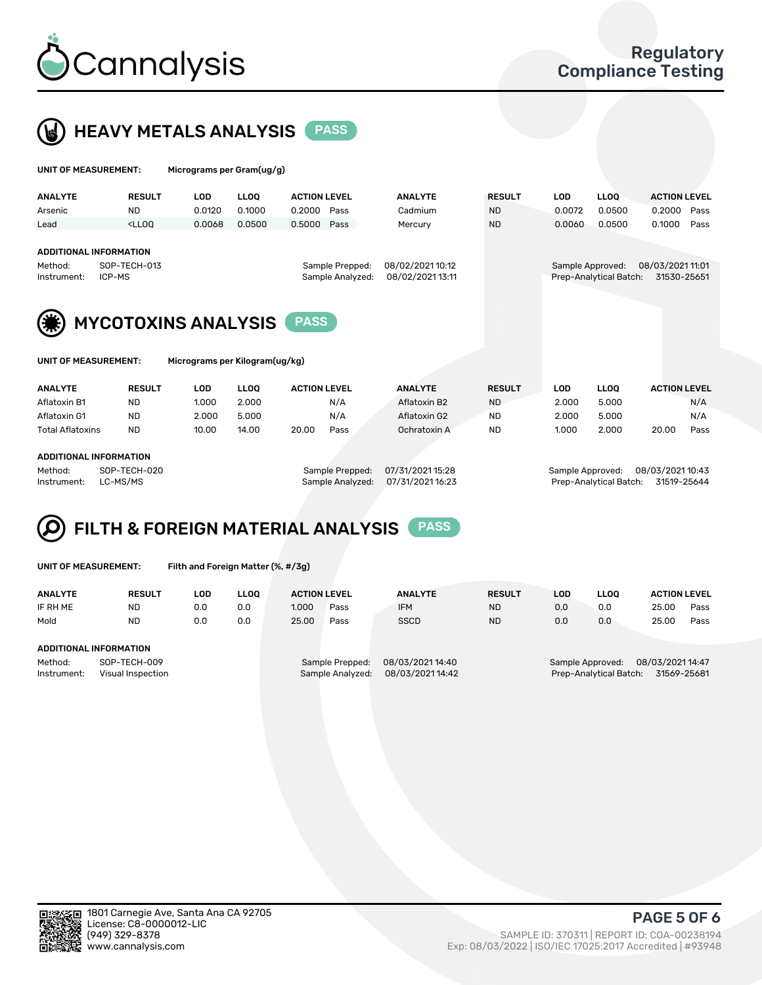

 $U$ UNIT OF MEASUREMENT: Micrograms per Gram(ug/g)



| <b>ANALYTE</b>                | <b>RESULT</b>                                                                                                                                                           | <b>LOD</b> | <b>LLOO</b>                    | <b>ACTION LEVEL</b> |                  | <b>ANALYTE</b>   | <b>RESULT</b> | <b>LOD</b> | LLOO <sup>1</sup>      | <b>ACTION LEVEL</b> |
|-------------------------------|-------------------------------------------------------------------------------------------------------------------------------------------------------------------------|------------|--------------------------------|---------------------|------------------|------------------|---------------|------------|------------------------|---------------------|
| Arsenic                       | <b>ND</b>                                                                                                                                                               | 0.0120     | 0.1000                         | 0.2000              | Pass             | Cadmium          | <b>ND</b>     | 0.0072     | 0.0500                 | 0.2000<br>Pass      |
| Lead                          | <lloo< td=""><td>0.0068</td><td>0.0500</td><td>0.5000</td><td>Pass</td><td>Mercury</td><td><b>ND</b></td><td>0.0060</td><td>0.0500</td><td>0.1000<br/>Pass</td></lloo<> | 0.0068     | 0.0500                         | 0.5000              | Pass             | Mercury          | <b>ND</b>     | 0.0060     | 0.0500                 | 0.1000<br>Pass      |
| <b>ADDITIONAL INFORMATION</b> |                                                                                                                                                                         |            |                                |                     |                  |                  |               |            |                        |                     |
| Method:                       | SOP-TECH-013                                                                                                                                                            |            |                                |                     | Sample Prepped:  | 08/02/2021 10:12 |               |            | Sample Approved:       | 08/03/2021 11:01    |
| Instrument:                   | ICP-MS                                                                                                                                                                  |            |                                |                     | Sample Analyzed: | 08/02/2021 13:11 |               |            | Prep-Analytical Batch: | 31530-25651         |
| UNIT OF MEASUREMENT:          | <b>MYCOTOXINS ANALYSIS</b>                                                                                                                                              |            | Micrograms per Kilogram(ug/kg) | <b>PASS</b>         |                  |                  |               |            |                        |                     |

| <b>ANALYTE</b>          | <b>RESULT</b> | LOD   | LLOO            | <b>ACTION LEVEL</b> | <b>ANALYTE</b> | <b>RESULT</b>    | LOD   | LLOO             | <b>ACTION LEVEL</b> |      |
|-------------------------|---------------|-------|-----------------|---------------------|----------------|------------------|-------|------------------|---------------------|------|
| Aflatoxin B1            | ND            | 1.000 | 2.000           | N/A                 | Aflatoxin B2   | <b>ND</b>        | 2.000 | 5.000            |                     | N/A  |
| Aflatoxin G1            | <b>ND</b>     | 2.000 | 5.000           | N/A                 | Aflatoxin G2   | ND               | 2.000 | 5.000            |                     | N/A  |
| <b>Total Aflatoxins</b> | ND            | 10.00 | 14.00           | 20.00<br>Pass       | Ochratoxin A   | <b>ND</b>        | 1.000 | 2.000            | 20.00               | Pass |
| ADDITIONAL INFORMATION  |               |       |                 |                     |                |                  |       |                  |                     |      |
| Method:                 | SOP-TECH-020  |       | Sample Prepped: | 07/31/2021 15:28    |                | Sample Approved: |       | 08/03/2021 10:43 |                     |      |

Instrument: LC-MS/MS Sample Analyzed: 07/31/2021 16:23 Prep-Analytical Batch: 31519-25644

# FILTH & FOREIGN MATERIAL ANALYSIS PASS

UNIT OF MEASUREMENT: Filth and Foreign Matter (%, #/3g)

| <b>ANALYTE</b>                                              | <b>RESULT</b>          | LOD | <b>LLOO</b> | <b>ACTION LEVEL</b> |                                     | <b>ANALYTE</b>                      | <b>RESULT</b>                                                                 | LOD | <b>LLOO</b> | <b>ACTION LEVEL</b> |      |
|-------------------------------------------------------------|------------------------|-----|-------------|---------------------|-------------------------------------|-------------------------------------|-------------------------------------------------------------------------------|-----|-------------|---------------------|------|
| IF RH ME                                                    | <b>ND</b>              | 0.0 | 0.0         | 1.000               | Pass                                | <b>IFM</b>                          | <b>ND</b>                                                                     | 0.0 | 0.0         | 25.00               | Pass |
| Mold                                                        | <b>ND</b>              | 0.0 | 0.0         | 25.00               | Pass                                | <b>SSCD</b>                         | <b>ND</b>                                                                     | 0.0 | 0.0         | 25.00               | Pass |
|                                                             | ADDITIONAL INFORMATION |     |             |                     |                                     |                                     |                                                                               |     |             |                     |      |
| Method:<br>SOP-TECH-009<br>Instrument:<br>Visual Inspection |                        |     |             |                     | Sample Prepped:<br>Sample Analyzed: | 08/03/2021 14:40<br>08/03/202114:42 | 08/03/2021 14:47<br>Sample Approved:<br>Prep-Analytical Batch:<br>31569-25681 |     |             |                     |      |



PAGE 5 OF 6